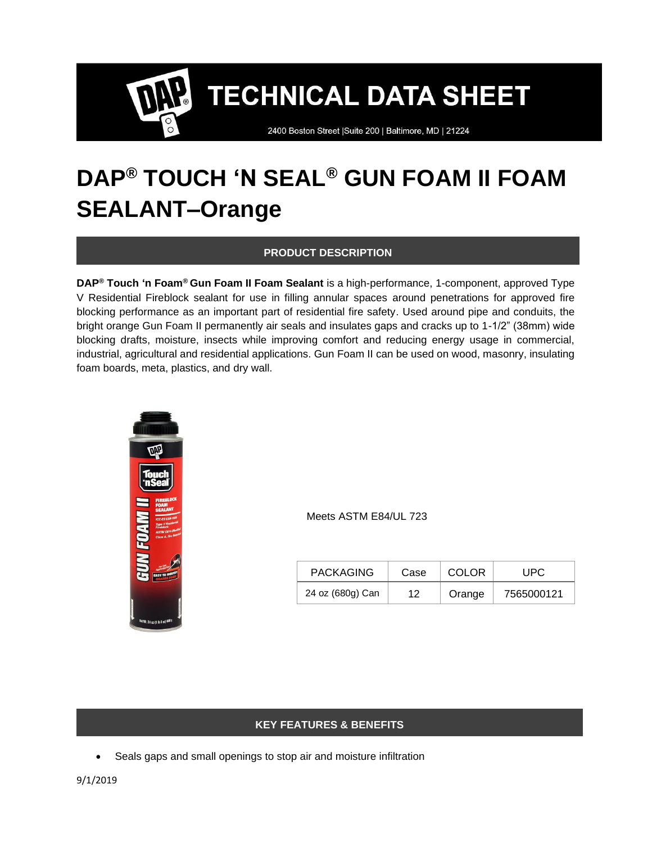2400 Boston Street | Suite 200 | Baltimore, MD | 21224

### **DAP® TOUCH 'N SEAL® GUN FOAM II FOAM SEALANT–Orange**

#### **PRODUCT DESCRIPTION**

**DAP® Touch 'n Foam® Gun Foam II Foam Sealant** is a high-performance, 1-component, approved Type V Residential Fireblock sealant for use in filling annular spaces around penetrations for approved fire blocking performance as an important part of residential fire safety. Used around pipe and conduits, the bright orange Gun Foam II permanently air seals and insulates gaps and cracks up to 1-1/2" (38mm) wide blocking drafts, moisture, insects while improving comfort and reducing energy usage in commercial, industrial, agricultural and residential applications. Gun Foam II can be used on wood, masonry, insulating foam boards, meta, plastics, and dry wall.



Meets ASTM E84/UL 723

| <b>PACKAGING</b> | Case | COLOR  | UPC.       |
|------------------|------|--------|------------|
| 24 oz (680g) Can | 12   | Orange | 7565000121 |

#### **KEY FEATURES & BENEFITS**

Seals gaps and small openings to stop air and moisture infiltration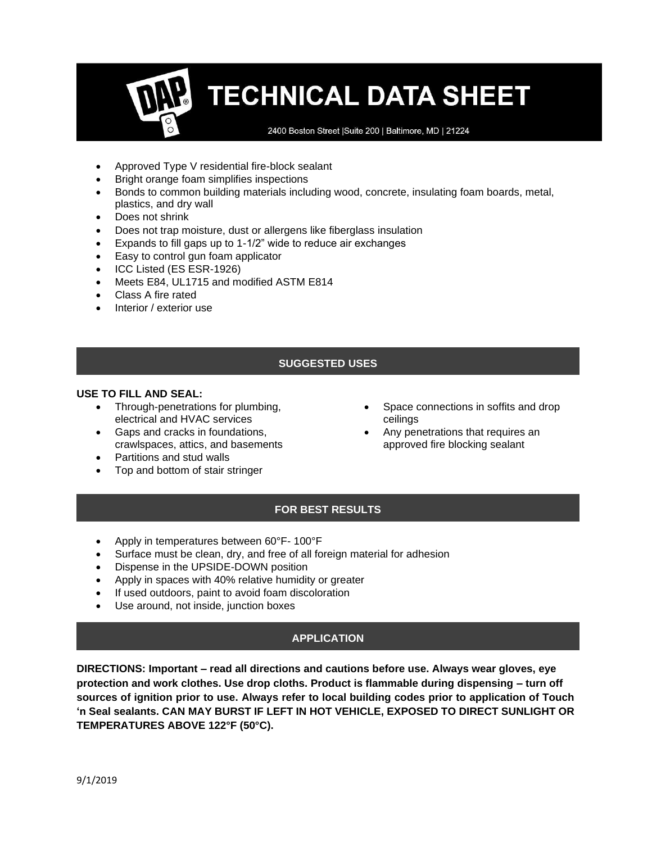2400 Boston Street | Suite 200 | Baltimore, MD | 21224

- Approved Type V residential fire-block sealant
- Bright orange foam simplifies inspections
- Bonds to common building materials including wood, concrete, insulating foam boards, metal, plastics, and dry wall
- Does not shrink
- Does not trap moisture, dust or allergens like fiberglass insulation
- Expands to fill gaps up to 1-1/2" wide to reduce air exchanges
- Easy to control gun foam applicator
- ICC Listed (ES ESR-1926)
- Meets E84, UL1715 and modified ASTM E814
- Class A fire rated
- Interior / exterior use

#### **SUGGESTED USES**

#### **USE TO FILL AND SEAL:**

- Through-penetrations for plumbing, electrical and HVAC services
- Gaps and cracks in foundations, crawlspaces, attics, and basements
- Partitions and stud walls
- Top and bottom of stair stringer
- Space connections in soffits and drop ceilings
- Any penetrations that requires an approved fire blocking sealant

#### **FOR BEST RESULTS**

- Apply in temperatures between 60°F- 100°F
- Surface must be clean, dry, and free of all foreign material for adhesion
- Dispense in the UPSIDE-DOWN position
- Apply in spaces with 40% relative humidity or greater
- If used outdoors, paint to avoid foam discoloration
- Use around, not inside, junction boxes

#### **APPLICATION**

**DIRECTIONS: Important – read all directions and cautions before use. Always wear gloves, eye protection and work clothes. Use drop cloths. Product is flammable during dispensing – turn off sources of ignition prior to use. Always refer to local building codes prior to application of Touch 'n Seal sealants. CAN MAY BURST IF LEFT IN HOT VEHICLE, EXPOSED TO DIRECT SUNLIGHT OR TEMPERATURES ABOVE 122°F (50°C).**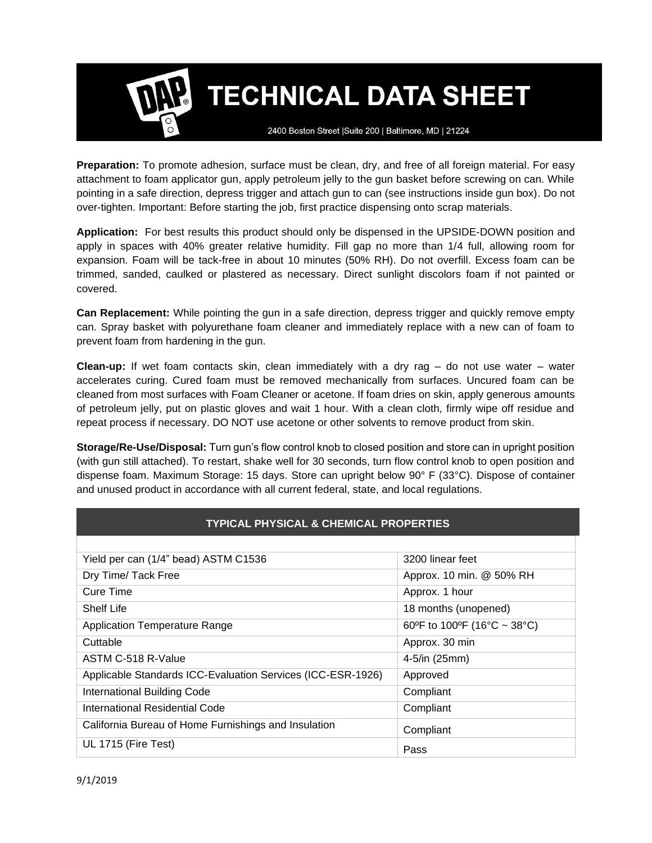2400 Boston Street | Suite 200 | Baltimore, MD | 21224

**Preparation:** To promote adhesion, surface must be clean, dry, and free of all foreign material. For easy attachment to foam applicator gun, apply petroleum jelly to the gun basket before screwing on can. While pointing in a safe direction, depress trigger and attach gun to can (see instructions inside gun box). Do not over-tighten. Important: Before starting the job, first practice dispensing onto scrap materials.

**Application:** For best results this product should only be dispensed in the UPSIDE-DOWN position and apply in spaces with 40% greater relative humidity. Fill gap no more than 1/4 full, allowing room for expansion. Foam will be tack-free in about 10 minutes (50% RH). Do not overfill. Excess foam can be trimmed, sanded, caulked or plastered as necessary. Direct sunlight discolors foam if not painted or covered.

**Can Replacement:** While pointing the gun in a safe direction, depress trigger and quickly remove empty can. Spray basket with polyurethane foam cleaner and immediately replace with a new can of foam to prevent foam from hardening in the gun.

**Clean-up:** If wet foam contacts skin, clean immediately with a dry rag – do not use water – water accelerates curing. Cured foam must be removed mechanically from surfaces. Uncured foam can be cleaned from most surfaces with Foam Cleaner or acetone. If foam dries on skin, apply generous amounts of petroleum jelly, put on plastic gloves and wait 1 hour. With a clean cloth, firmly wipe off residue and repeat process if necessary. DO NOT use acetone or other solvents to remove product from skin.

**Storage/Re-Use/Disposal:** Turn gun's flow control knob to closed position and store can in upright position (with gun still attached). To restart, shake well for 30 seconds, turn flow control knob to open position and dispense foam. Maximum Storage: 15 days. Store can upright below 90° F (33°C). Dispose of container and unused product in accordance with all current federal, state, and local regulations.

| <b>TYPICAL PHYSICAL &amp; CHEMICAL PROPERTIES</b>           |                             |  |
|-------------------------------------------------------------|-----------------------------|--|
|                                                             |                             |  |
| Yield per can (1/4" bead) ASTM C1536                        | 3200 linear feet            |  |
| Dry Time/ Tack Free                                         | Approx. 10 min. @ 50% RH    |  |
| Cure Time                                                   | Approx. 1 hour              |  |
| Shelf Life                                                  | 18 months (unopened)        |  |
| <b>Application Temperature Range</b>                        | 60°F to 100°F (16°C ~ 38°C) |  |
| Cuttable                                                    | Approx. 30 min              |  |
| ASTM C-518 R-Value                                          | 4-5/in (25mm)               |  |
| Applicable Standards ICC-Evaluation Services (ICC-ESR-1926) | Approved                    |  |
| International Building Code                                 | Compliant                   |  |
| International Residential Code                              | Compliant                   |  |
| California Bureau of Home Furnishings and Insulation        | Compliant                   |  |
| UL 1715 (Fire Test)                                         | Pass                        |  |